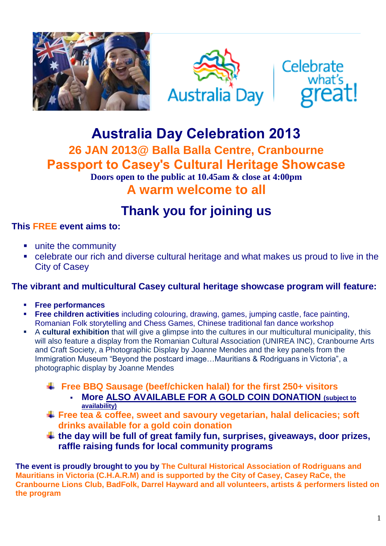





## **Australia Day Celebration 2013 26 JAN 2013@ Balla Balla Centre, Cranbourne Passport to Casey's Cultural Heritage Showcase Doors open to the public at 10.45am & close at 4:00pm A warm welcome to all**

# **Thank you for joining us**

### **This FREE event aims to:**

- **unite the community**
- celebrate our rich and diverse cultural heritage and what makes us proud to live in the City of Casey

### **The vibrant and multicultural Casey cultural heritage showcase program will feature:**

- **Free performances**
- **Free children activities** including colouring, drawing, games, jumping castle, face painting, Romanian Folk storytelling and Chess Games, Chinese traditional fan dance workshop
- A **cultural exhibition** that will give a glimpse into the cultures in our multicultural municipality, this will also feature a display from the Romanian Cultural Association (UNIREA INC), Cranbourne Arts and Craft Society, a Photographic Display by Joanne Mendes and the key panels from the Immigration Museum "Beyond the postcard image…Mauritians & Rodriguans in Victoria", a photographic display by Joanne Mendes
	- **Free BBQ Sausage (beef/chicken halal) for the first 250+ visitors**
		- **More ALSO AVAILABLE FOR A GOLD COIN DONATION (subject to availability)**
	- **Free tea & coffee, sweet and savoury vegetarian, halal delicacies; soft drinks available for a gold coin donation**
	- **the day will be full of great family fun, surprises, giveaways, door prizes, raffle raising funds for local community programs**

**The event is proudly brought to you by The Cultural Historical Association of Rodriguans and Mauritians in Victoria (C.H.A.R.M) and is supported by the City of Casey, Casey RaCe, the Cranbourne Lions Club, BadFolk, Darrel Hayward and all volunteers, artists & performers listed on the program**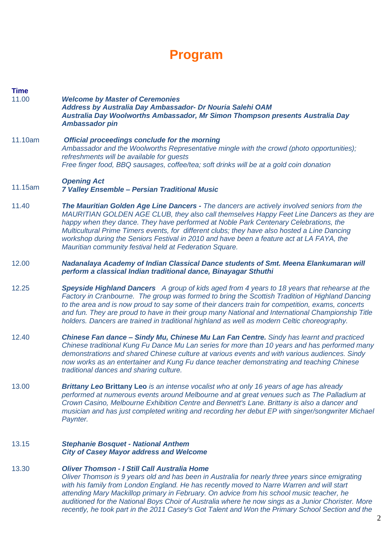## **Program**

- **Time**  11.00 *Welcome by Master of Ceremonies Address by Australia Day Ambassador- Dr Nouria Salehi OAM Australia Day Woolworths Ambassador, Mr Simon Thompson presents Australia Day Ambassador pin*
- 11.10am *Official proceedings conclude for the morning Ambassador and the Woolworths Representative mingle with the crowd (photo opportunities); refreshments will be available for guests Free finger food, BBQ sausages, coffee/tea; soft drinks will be at a gold coin donation*

#### 11.15am *Opening Act 7 Valley Ensemble – Persian Traditional Music*

- 11.40 *The Mauritian Golden Age Line Dancers - The dancers are actively involved seniors from the MAURITIAN GOLDEN AGE CLUB, they also call themselves Happy Feet Line Dancers as they are happy when they dance. They have performed at Noble Park Centenary Celebrations, the Multicultural Prime Timers events, for different clubs; they have also hosted a Line Dancing workshop during the Seniors Festival in 2010 and have been a feature act at LA FAYA, the Mauritian community festival held at Federation Square.*
- 12.00 *Nadanalaya Academy of Indian Classical Dance students of Smt. Meena Elankumaran will perform a classical Indian traditional dance, Binayagar Sthuthi*
- 12.25 *Speyside Highland Dancers A group of kids aged from 4 years to 18 years that rehearse at the Factory in Cranbourne. The group was formed to bring the Scottish Tradition of Highland Dancing to the area and is now proud to say some of their dancers train for competition, exams, concerts and fun. They are proud to have in their group many National and International Championship Title holders. Dancers are trained in traditional highland as well as modern Celtic choreography.*
- 12.40 *Chinese Fan dance – Sindy Mu, Chinese Mu Lan Fan Centre. Sindy has learnt and practiced Chinese traditional Kung Fu Dance Mu Lan series for more than 10 years and has performed many demonstrations and shared Chinese culture at various events and with various audiences. Sindy now works as an entertainer and Kung Fu dance teacher demonstrating and teaching Chinese traditional dances and sharing culture.*
- 13.00 *Brittany Leo* **Brittany Leo** *is an intense vocalist who at only 16 years of age has already performed at numerous events around Melbourne and at great venues such as The Palladium at Crown Casino, Melbourne Exhibition Centre and Bennett's Lane. Brittany is also a dancer and musician and has just completed writing and recording her debut EP with singer/songwriter Michael Paynter.*

#### 13.15 *Stephanie Bosquet - National Anthem City of Casey Mayor address and Welcome*

#### 13.30 *Oliver Thomson - I Still Call Australia Home*

*Oliver Thomson is 9 years old and has been in Australia for nearly three years since emigrating with his family from London England. He has recently moved to Narre Warren and will start attending Mary Mackillop primary in February. On advice from his school music teacher, he auditioned for the National Boys Choir of Australia where he now sings as a Junior Chorister. More recently, he took part in the 2011 Casey's Got Talent and Won the Primary School Section and the*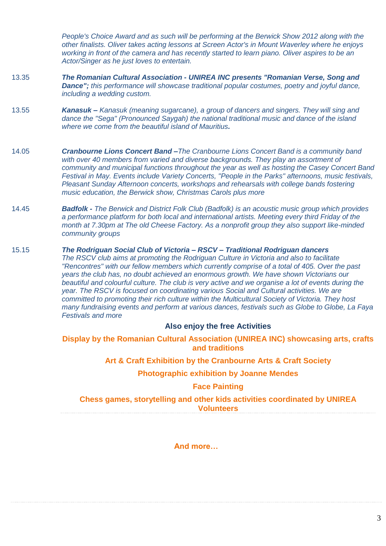*People's Choice Award and as such will be performing at the Berwick Show 2012 along with the other finalists. Oliver takes acting lessons at Screen Actor's in Mount Waverley where he enjoys working in front of the camera and has recently started to learn piano. Oliver aspires to be an Actor/Singer as he just loves to entertain.*

- 13.35 *The Romanian Cultural Association - UNIREA INC presents "Romanian Verse, Song and Dance"; this performance will showcase traditional popular costumes, poetry and joyful dance, including a wedding custom.*
- 13.55 *Kanasuk – Kanasuk (meaning sugarcane), a group of dancers and singers. They will sing and dance the "Sega" (Pronounced Saygah) the national traditional music and dance of the island where we come from the beautiful island of Mauritius.*
- 14.05 *Cranbourne Lions Concert Band –The Cranbourne Lions Concert Band is a community band with over 40 members from varied and diverse backgrounds. They play an assortment of community and municipal functions throughout the year as well as hosting the Casey Concert Band Festival in May. Events include Variety Concerts, "People in the Parks" afternoons, music festivals, Pleasant Sunday Afternoon concerts, workshops and rehearsals with college bands fostering music education, the Berwick show, Christmas Carols plus more*
- 14.45 *Badfolk - The Berwick and District Folk Club (Badfolk) is an acoustic music group which provides a performance platform for both local and international artists. Meeting every third Friday of the month at 7.30pm at The old Cheese Factory. As a nonprofit group they also support like-minded community groups*
- 15.15 *The Rodriguan Social Club of Victoria – RSCV – Traditional Rodriguan dancers The RSCV club aims at promoting the Rodriguan Culture in Victoria and also to facilitate "Rencontres" with our fellow members which currently comprise of a total of 405. Over the past years the club has, no doubt achieved an enormous growth. We have shown Victorians our beautiful and colourful culture. The club is very active and we organise a lot of events during the year. The RSCV is focused on coordinating various Social and Cultural activities. We are committed to promoting their rich culture within the Multicultural Society of Victoria. They host many fundraising events and perform at various dances, festivals such as Globe to Globe, La Faya Festivals and more*

### **Also enjoy the free Activities**

**Display by the Romanian Cultural Association (UNIREA INC) showcasing arts, crafts and traditions**

**Art & Craft Exhibition by the Cranbourne Arts & Craft Society**

**Photographic exhibition by Joanne Mendes**

### **Face Painting**

**Chess games, storytelling and other kids activities coordinated by UNIREA Volunteers**

**And more…**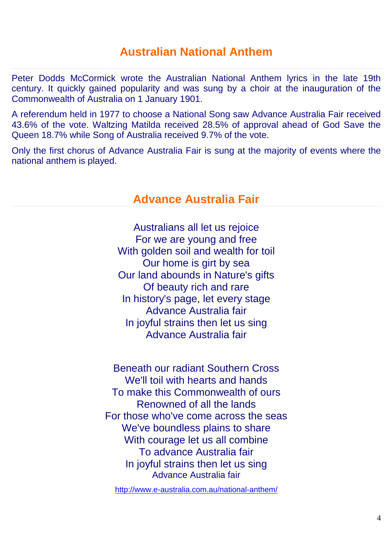### **Australian National Anthem**

Peter Dodds McCormick wrote the Australian National Anthem lyrics in the late 19th century. It quickly gained popularity and was sung by a choir at the inauguration of the Commonwealth of Australia on 1 January 1901.

A referendum held in 1977 to choose a National Song saw Advance Australia Fair received 43.6% of the vote. Waltzing Matilda received 28.5% of approval ahead of God Save the Queen 18.7% while Song of Australia received 9.7% of the vote.

Only the first chorus of Advance Australia Fair is sung at the majority of events where the national anthem is played.

### **Advance Australia Fair**

Australians all let us rejoice For we are young and free With golden soil and wealth for toil Our home is girt by sea Our land abounds in Nature's gifts Of beauty rich and rare In history's page, let every stage Advance Australia fair In joyful strains then let us sing Advance Australia fair

Beneath our radiant Southern Cross We'll toil with hearts and hands To make this Commonwealth of ours Renowned of all the lands For those who've come across the seas We've boundless plains to share With courage let us all combine To advance Australia fair In joyful strains then let us sing Advance Australia fair

<http://www.e-australia.com.au/national-anthem/>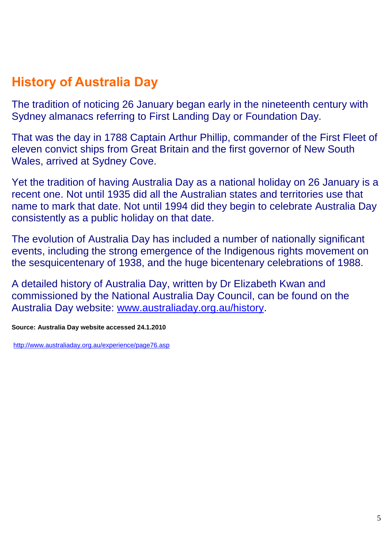# **History of Australia Day**

The tradition of noticing 26 January began early in the nineteenth century with Sydney almanacs referring to First Landing Day or Foundation Day.

That was the day in 1788 Captain Arthur Phillip, commander of the First Fleet of eleven convict ships from Great Britain and the first governor of New South Wales, arrived at Sydney Cove.

Yet the tradition of having Australia Day as a national holiday on 26 January is a recent one. Not until 1935 did all the Australian states and territories use that name to mark that date. Not until 1994 did they begin to celebrate Australia Day consistently as a public holiday on that date.

The evolution of Australia Day has included a number of nationally significant events, including the strong emergence of the Indigenous rights movement on the sesquicentenary of 1938, and the huge bicentenary celebrations of 1988.

A detailed history of Australia Day, written by Dr Elizabeth Kwan and commissioned by the National Australia Day Council, can be found on the Australia Day website: [www.australiaday.org.au/history.](http://www.australiaday.org.au/history)

**Source: Australia Day website accessed 24.1.2010**

<http://www.australiaday.org.au/experience/page76.asp>